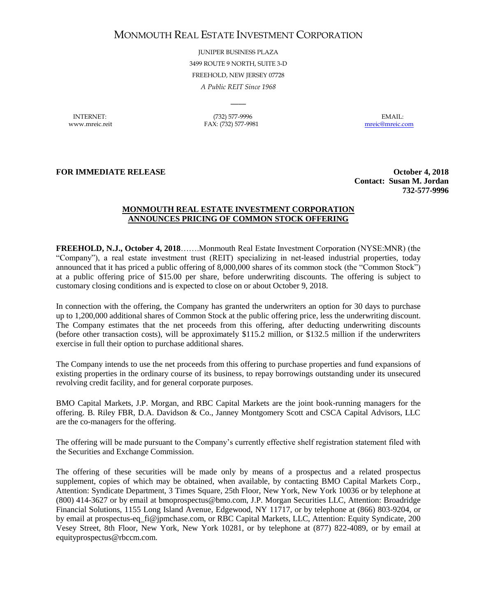## MONMOUTH REAL ESTATE INVESTMENT CORPORATION

JUNIPER BUSINESS PLAZA 3499 ROUTE 9 NORTH, SUITE 3-D FREEHOLD, NEW JERSEY 07728 *A Public REIT Since 1968*

 $\overline{\phantom{a}}$ 

INTERNET: (732) 577-9996 EMAIL: www.mreic.reit FAX: (732) 577-9981 [mreic@mreic.com](mailto:mreic@mreic.com)

**FOR IMMEDIATE RELEASE** *COLORED <b>EXECUTER COLORED <b>EXECUTER COLORED <b>EXECUTER* 

**Contact: Susan M. Jordan 732-577-9996**

## **MONMOUTH REAL ESTATE INVESTMENT CORPORATION ANNOUNCES PRICING OF COMMON STOCK OFFERING**

**FREEHOLD, N.J., October 4, 2018**…….Monmouth Real Estate Investment Corporation (NYSE:MNR) (the "Company"), a real estate investment trust (REIT) specializing in net-leased industrial properties, today announced that it has priced a public offering of 8,000,000 shares of its common stock (the "Common Stock") at a public offering price of \$15.00 per share, before underwriting discounts. The offering is subject to customary closing conditions and is expected to close on or about October 9, 2018.

In connection with the offering, the Company has granted the underwriters an option for 30 days to purchase up to 1,200,000 additional shares of Common Stock at the public offering price, less the underwriting discount. The Company estimates that the net proceeds from this offering, after deducting underwriting discounts (before other transaction costs), will be approximately \$115.2 million, or \$132.5 million if the underwriters exercise in full their option to purchase additional shares.

The Company intends to use the net proceeds from this offering to purchase properties and fund expansions of existing properties in the ordinary course of its business, to repay borrowings outstanding under its unsecured revolving credit facility, and for general corporate purposes.

BMO Capital Markets, J.P. Morgan, and RBC Capital Markets are the joint book-running managers for the offering. B. Riley FBR, D.A. Davidson & Co., Janney Montgomery Scott and CSCA Capital Advisors, LLC are the co-managers for the offering.

The offering will be made pursuant to the Company's currently effective shelf registration statement filed with the Securities and Exchange Commission.

The offering of these securities will be made only by means of a prospectus and a related prospectus supplement, copies of which may be obtained, when available, by contacting BMO Capital Markets Corp., Attention: Syndicate Department, 3 Times Square, 25th Floor, New York, New York 10036 or by telephone at (800) 414-3627 or by email at bmoprospectus@bmo.com, J.P. Morgan Securities LLC, Attention: Broadridge Financial Solutions, 1155 Long Island Avenue, Edgewood, NY 11717, or by telephone at (866) 803-9204, or by email at prospectus-eq\_fi@jpmchase.com, or RBC Capital Markets, LLC, Attention: Equity Syndicate, 200 Vesey Street, 8th Floor, New York, New York 10281, or by telephone at (877) 822-4089, or by email at equityprospectus@rbccm.com.